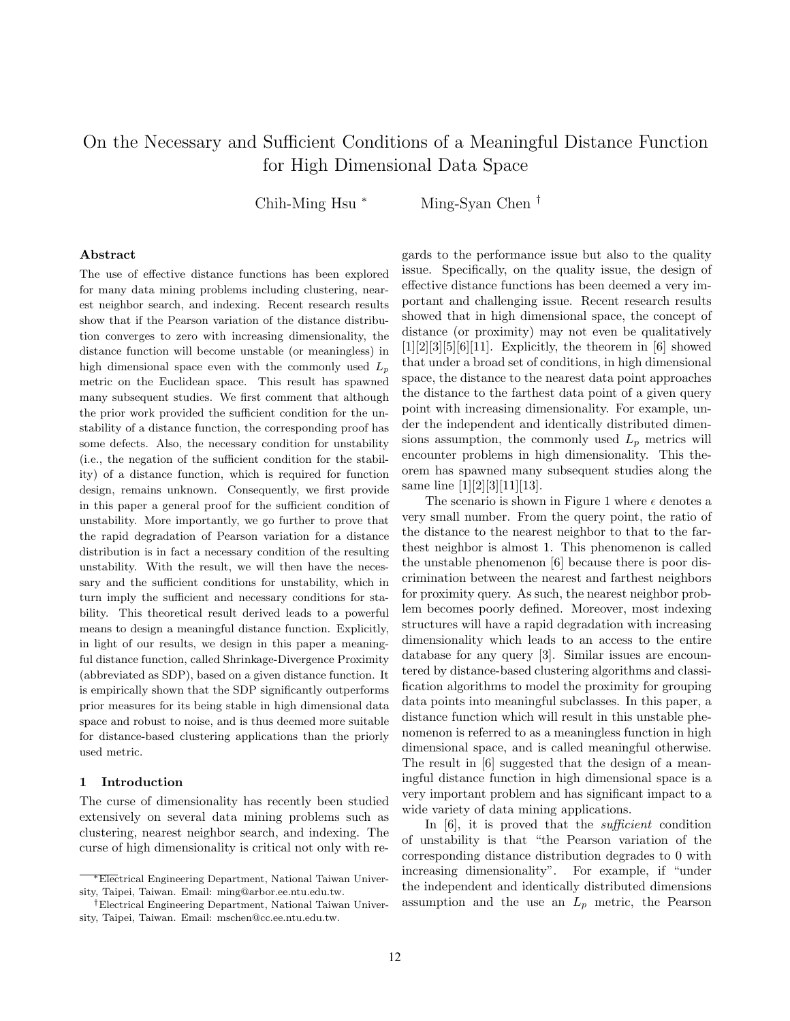# On the Necessary and Sufficient Conditions of a Meaningful Distance Function for High Dimensional Data Space

Chih-Ming Hsu <sup>∗</sup> Ming-Syan Chen †

## Abstract

The use of effective distance functions has been explored for many data mining problems including clustering, nearest neighbor search, and indexing. Recent research results show that if the Pearson variation of the distance distribution converges to zero with increasing dimensionality, the distance function will become unstable (or meaningless) in high dimensional space even with the commonly used  $L_p$ metric on the Euclidean space. This result has spawned many subsequent studies. We first comment that although the prior work provided the sufficient condition for the unstability of a distance function, the corresponding proof has some defects. Also, the necessary condition for unstability (i.e., the negation of the sufficient condition for the stability) of a distance function, which is required for function design, remains unknown. Consequently, we first provide in this paper a general proof for the sufficient condition of unstability. More importantly, we go further to prove that the rapid degradation of Pearson variation for a distance distribution is in fact a necessary condition of the resulting unstability. With the result, we will then have the necessary and the sufficient conditions for unstability, which in turn imply the sufficient and necessary conditions for stability. This theoretical result derived leads to a powerful means to design a meaningful distance function. Explicitly, in light of our results, we design in this paper a meaningful distance function, called Shrinkage-Divergence Proximity (abbreviated as SDP), based on a given distance function. It is empirically shown that the SDP significantly outperforms prior measures for its being stable in high dimensional data space and robust to noise, and is thus deemed more suitable for distance-based clustering applications than the priorly used metric.

## 1 Introduction

The curse of dimensionality has recently been studied extensively on several data mining problems such as clustering, nearest neighbor search, and indexing. The curse of high dimensionality is critical not only with re-

gards to the performance issue but also to the quality issue. Specifically, on the quality issue, the design of effective distance functions has been deemed a very important and challenging issue. Recent research results showed that in high dimensional space, the concept of distance (or proximity) may not even be qualitatively  $[1][2][3][5][6][11]$ . Explicitly, the theorem in [6] showed that under a broad set of conditions, in high dimensional space, the distance to the nearest data point approaches the distance to the farthest data point of a given query point with increasing dimensionality. For example, under the independent and identically distributed dimensions assumption, the commonly used  $L_p$  metrics will encounter problems in high dimensionality. This theorem has spawned many subsequent studies along the same line [1][2][3][11][13].

The scenario is shown in Figure 1 where  $\epsilon$  denotes a very small number. From the query point, the ratio of the distance to the nearest neighbor to that to the farthest neighbor is almost 1. This phenomenon is called the unstable phenomenon [6] because there is poor discrimination between the nearest and farthest neighbors for proximity query. As such, the nearest neighbor problem becomes poorly defined. Moreover, most indexing structures will have a rapid degradation with increasing dimensionality which leads to an access to the entire database for any query [3]. Similar issues are encountered by distance-based clustering algorithms and classification algorithms to model the proximity for grouping data points into meaningful subclasses. In this paper, a distance function which will result in this unstable phenomenon is referred to as a meaningless function in high dimensional space, and is called meaningful otherwise. The result in [6] suggested that the design of a meaningful distance function in high dimensional space is a very important problem and has significant impact to a wide variety of data mining applications.

In [6], it is proved that the *sufficient* condition of unstability is that "the Pearson variation of the corresponding distance distribution degrades to 0 with increasing dimensionality". For example, if "under the independent and identically distributed dimensions assumption and the use an  $L_p$  metric, the Pearson

<sup>∗</sup>Electrical Engineering Department, National Taiwan University, Taipei, Taiwan. Email: ming@arbor.ee.ntu.edu.tw.

<sup>†</sup>Electrical Engineering Department, National Taiwan University, Taipei, Taiwan. Email: mschen@cc.ee.ntu.edu.tw.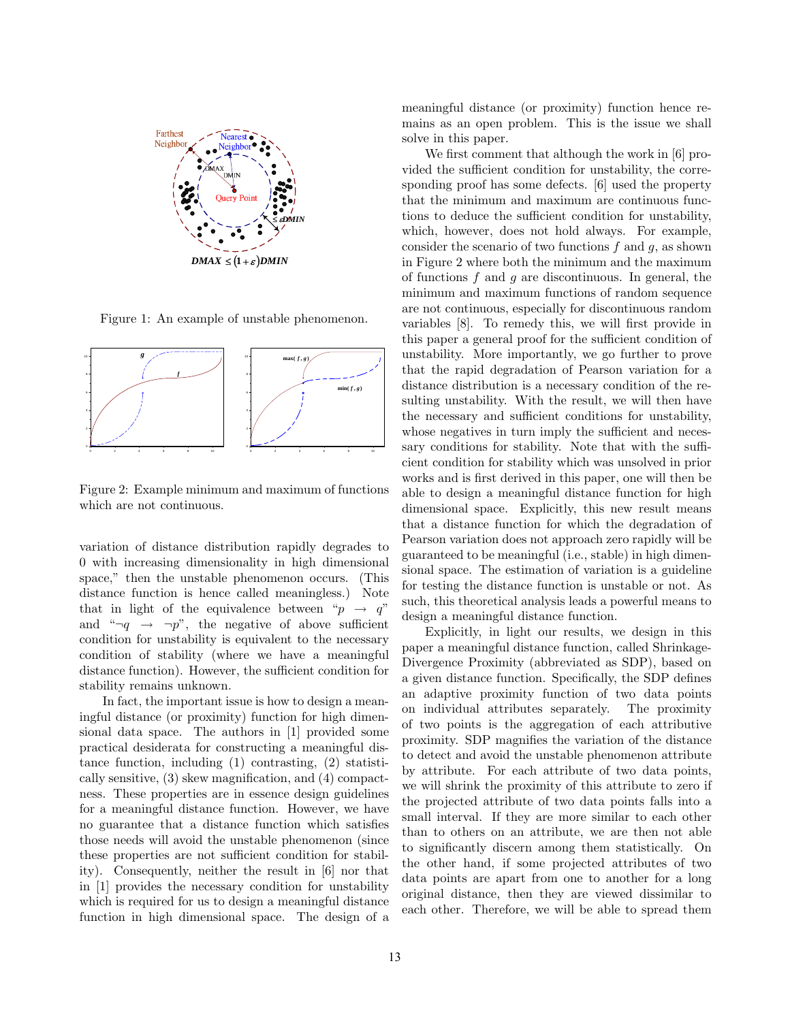

Figure 1: An example of unstable phenomenon.



Figure 2: Example minimum and maximum of functions which are not continuous.

variation of distance distribution rapidly degrades to 0 with increasing dimensionality in high dimensional space," then the unstable phenomenon occurs. (This distance function is hence called meaningless.) Note that in light of the equivalence between " $p \rightarrow q$ " and " $\neg q \rightarrow \neg p$ ", the negative of above sufficient condition for unstability is equivalent to the necessary condition of stability (where we have a meaningful distance function). However, the sufficient condition for stability remains unknown.

In fact, the important issue is how to design a meaningful distance (or proximity) function for high dimensional data space. The authors in [1] provided some practical desiderata for constructing a meaningful distance function, including (1) contrasting, (2) statistically sensitive, (3) skew magnification, and (4) compactness. These properties are in essence design guidelines for a meaningful distance function. However, we have no guarantee that a distance function which satisfies those needs will avoid the unstable phenomenon (since these properties are not sufficient condition for stability). Consequently, neither the result in [6] nor that in [1] provides the necessary condition for unstability which is required for us to design a meaningful distance function in high dimensional space. The design of a

meaningful distance (or proximity) function hence remains as an open problem. This is the issue we shall solve in this paper.

We first comment that although the work in [6] provided the sufficient condition for unstability, the corresponding proof has some defects. [6] used the property that the minimum and maximum are continuous functions to deduce the sufficient condition for unstability, which, however, does not hold always. For example, consider the scenario of two functions  $f$  and  $g$ , as shown in Figure 2 where both the minimum and the maximum of functions  $f$  and  $g$  are discontinuous. In general, the minimum and maximum functions of random sequence are not continuous, especially for discontinuous random variables [8]. To remedy this, we will first provide in this paper a general proof for the sufficient condition of unstability. More importantly, we go further to prove that the rapid degradation of Pearson variation for a distance distribution is a necessary condition of the resulting unstability. With the result, we will then have the necessary and sufficient conditions for unstability, whose negatives in turn imply the sufficient and necessary conditions for stability. Note that with the sufficient condition for stability which was unsolved in prior works and is first derived in this paper, one will then be able to design a meaningful distance function for high dimensional space. Explicitly, this new result means that a distance function for which the degradation of Pearson variation does not approach zero rapidly will be guaranteed to be meaningful (i.e., stable) in high dimensional space. The estimation of variation is a guideline for testing the distance function is unstable or not. As such, this theoretical analysis leads a powerful means to design a meaningful distance function.

Explicitly, in light our results, we design in this paper a meaningful distance function, called Shrinkage-Divergence Proximity (abbreviated as SDP), based on a given distance function. Specifically, the SDP defines an adaptive proximity function of two data points on individual attributes separately. The proximity of two points is the aggregation of each attributive proximity. SDP magnifies the variation of the distance to detect and avoid the unstable phenomenon attribute by attribute. For each attribute of two data points, we will shrink the proximity of this attribute to zero if the projected attribute of two data points falls into a small interval. If they are more similar to each other than to others on an attribute, we are then not able to significantly discern among them statistically. On the other hand, if some projected attributes of two data points are apart from one to another for a long original distance, then they are viewed dissimilar to each other. Therefore, we will be able to spread them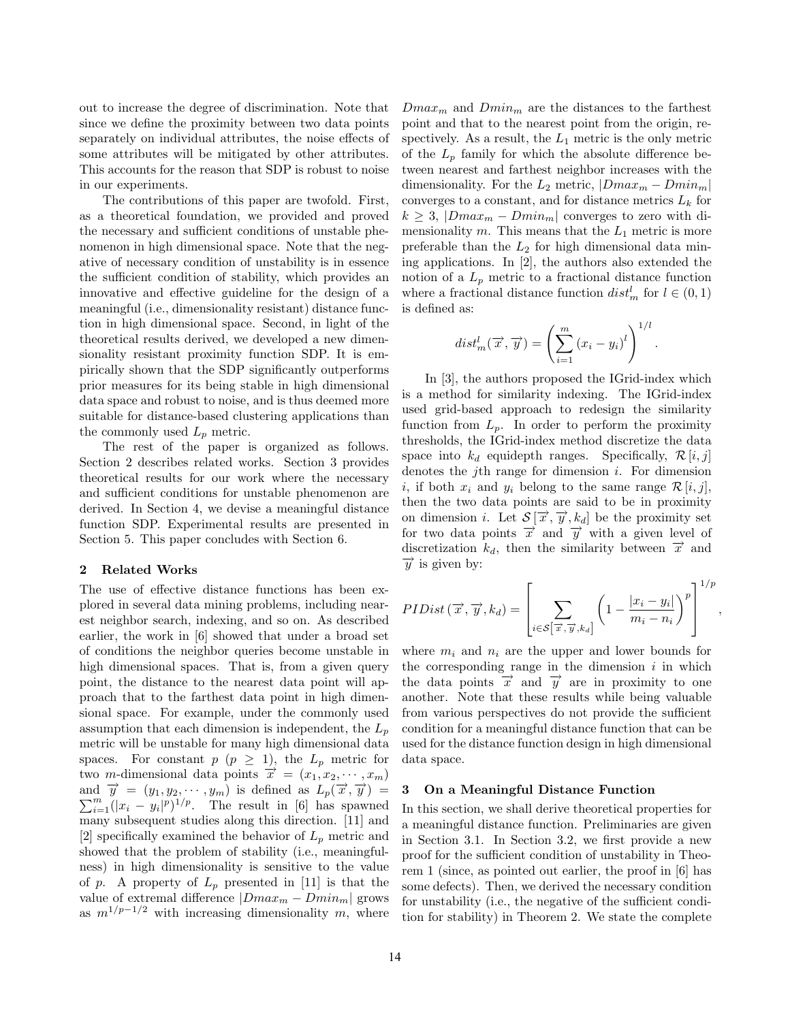out to increase the degree of discrimination. Note that since we define the proximity between two data points separately on individual attributes, the noise effects of some attributes will be mitigated by other attributes. This accounts for the reason that SDP is robust to noise in our experiments.

The contributions of this paper are twofold. First, as a theoretical foundation, we provided and proved the necessary and sufficient conditions of unstable phenomenon in high dimensional space. Note that the negative of necessary condition of unstability is in essence the sufficient condition of stability, which provides an innovative and effective guideline for the design of a meaningful (i.e., dimensionality resistant) distance function in high dimensional space. Second, in light of the theoretical results derived, we developed a new dimensionality resistant proximity function SDP. It is empirically shown that the SDP significantly outperforms prior measures for its being stable in high dimensional data space and robust to noise, and is thus deemed more suitable for distance-based clustering applications than the commonly used  $L_p$  metric.

The rest of the paper is organized as follows. Section 2 describes related works. Section 3 provides theoretical results for our work where the necessary and sufficient conditions for unstable phenomenon are derived. In Section 4, we devise a meaningful distance function SDP. Experimental results are presented in Section 5. This paper concludes with Section 6.

## 2 Related Works

The use of effective distance functions has been explored in several data mining problems, including nearest neighbor search, indexing, and so on. As described earlier, the work in [6] showed that under a broad set of conditions the neighbor queries become unstable in high dimensional spaces. That is, from a given query point, the distance to the nearest data point will approach that to the farthest data point in high dimensional space. For example, under the commonly used assumption that each dimension is independent, the  $L_p$ metric will be unstable for many high dimensional data spaces. For constant  $p \ (p \geq 1)$ , the  $L_p$  metric for two m-dimensional data points  $\vec{x} = (x_1, x_2, \dots, x_m)$ and  $\vec{y} = (y_1, y_2, \dots, y_m)$  is defined as  $L_p(\vec{x}, \vec{y}) =$  $\sum_{i=1}^{m} (|x_i - y_i|^p)^{1/p}$ . The result in [6] has spawned many subsequent studies along this direction. [11] and [2] specifically examined the behavior of  $L_p$  metric and showed that the problem of stability (i.e., meaningfulness) in high dimensionality is sensitive to the value of p. A property of  $L_p$  presented in [11] is that the value of extremal difference  $|Dmax_m - Dmin_m|$  grows as  $m^{1/p-1/2}$  with increasing dimensionality m, where  $Dmax_m$  and  $Dmin_m$  are the distances to the farthest point and that to the nearest point from the origin, respectively. As a result, the  $L_1$  metric is the only metric of the  $L_p$  family for which the absolute difference between nearest and farthest neighbor increases with the dimensionality. For the  $L_2$  metric,  $|Dmax_m - Dmin_m|$ converges to a constant, and for distance metrics  $L_k$  for  $k \geq 3$ ,  $|Dmax_m - Dmin_m|$  converges to zero with dimensionality  $m$ . This means that the  $L_1$  metric is more preferable than the  $L_2$  for high dimensional data mining applications. In [2], the authors also extended the notion of a  $L_p$  metric to a fractional distance function where a fractional distance function  $dist_m^l$  for  $l \in (0, 1)$ is defined as:

$$
dist_m^l(\overrightarrow{x}, \overrightarrow{y}) = \left(\sum_{i=1}^m (x_i - y_i)^l\right)^{1/l}.
$$

In [3], the authors proposed the IGrid-index which is a method for similarity indexing. The IGrid-index used grid-based approach to redesign the similarity function from  $L_p$ . In order to perform the proximity thresholds, the IGrid-index method discretize the data space into  $k_d$  equidepth ranges. Specifically,  $\mathcal{R} [i, j]$ denotes the *j*th range for dimension  $i$ . For dimension i, if both  $x_i$  and  $y_i$  belong to the same range  $\mathcal{R}[i,j],$ then the two data points are said to be in proximity on dimension *i*. Let  $S[\vec{x}, \vec{y}, k_d]$  be the proximity set for two data points  $\vec{x}$  and  $\vec{y}$  with a given level of discretization  $k_d$ , then the similarity between  $\vec{x}$  and  $\overrightarrow{y}$  is given by:

$$
PIDist\left(\overrightarrow{x},\overrightarrow{y},k_d\right) = \left[\sum_{i \in \mathcal{S}\left[\overrightarrow{x},\overrightarrow{y},k_d\right]}\left(1 - \frac{|x_i - y_i|}{m_i - n_i}\right)^p\right]^{1/p},\,
$$

where  $m_i$  and  $n_i$  are the upper and lower bounds for the corresponding range in the dimension  $i$  in which the data points  $\vec{x}$  and  $\vec{y}$  are in proximity to one another. Note that these results while being valuable from various perspectives do not provide the sufficient condition for a meaningful distance function that can be used for the distance function design in high dimensional data space.

## 3 On a Meaningful Distance Function

In this section, we shall derive theoretical properties for a meaningful distance function. Preliminaries are given in Section 3.1. In Section 3.2, we first provide a new proof for the sufficient condition of unstability in Theorem 1 (since, as pointed out earlier, the proof in [6] has some defects). Then, we derived the necessary condition for unstability (i.e., the negative of the sufficient condition for stability) in Theorem 2. We state the complete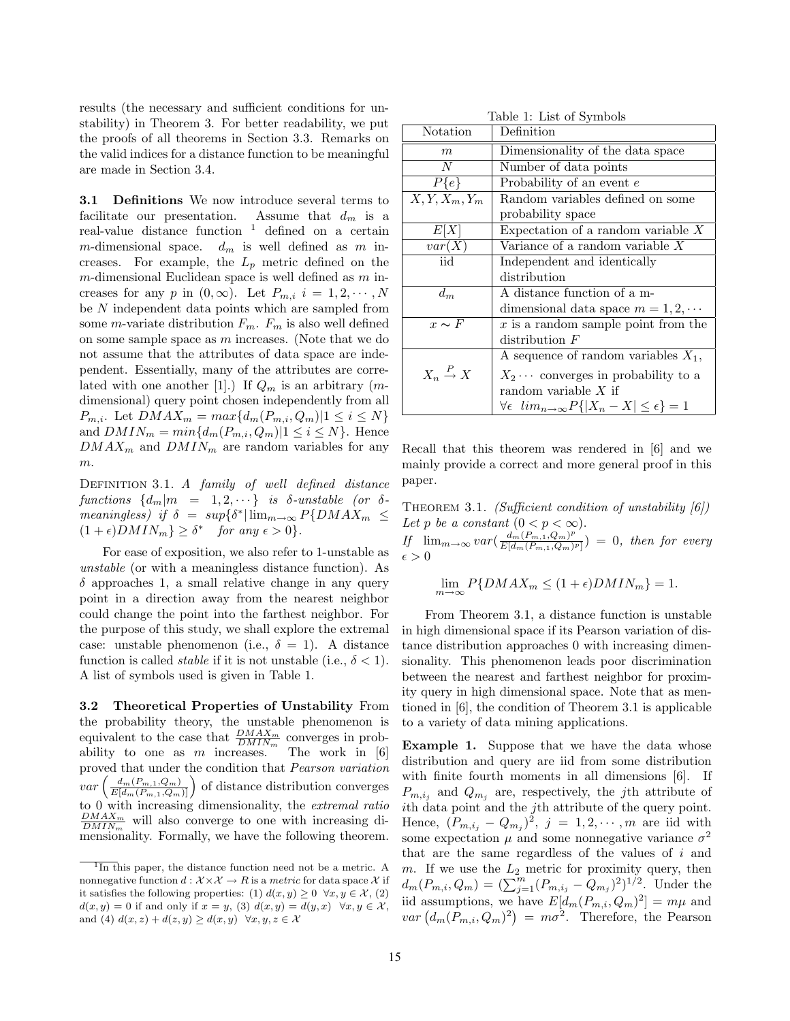results (the necessary and sufficient conditions for unstability) in Theorem 3. For better readability, we put the proofs of all theorems in Section 3.3. Remarks on the valid indices for a distance function to be meaningful are made in Section 3.4.

3.1 Definitions We now introduce several terms to facilitate our presentation. Assume that  $d_m$  is a real-value distance function  $1$  defined on a certain m-dimensional space.  $d_m$  is well defined as m increases. For example, the  $L_p$  metric defined on the  $m$ -dimensional Euclidean space is well defined as  $m$  increases for any p in  $(0, \infty)$ . Let  $P_{m,i}$   $i = 1, 2, \cdots, N$ be N independent data points which are sampled from some *m*-variate distribution  $F_m$ .  $F_m$  is also well defined on some sample space as m increases. (Note that we do not assume that the attributes of data space are independent. Essentially, many of the attributes are correlated with one another [1].) If  $Q_m$  is an arbitrary  $(m$ dimensional) query point chosen independently from all  $P_{m,i}$ . Let  $DMAX_m = max{d_m(P_{m,i}, Q_m)|1 \leq i \leq N}$ and  $DMIN_m = min{d_m(P_{m,i}, Q_m)|1 \le i \le N}$ . Hence  $DMAX_m$  and  $DMIN_m$  are random variables for any m.

DEFINITION 3.1. A family of well defined distance functions  $\{d_m|m = 1, 2, \cdots\}$  is δ-unstable (or δmeaningless) if  $\delta = \sup\{\delta^* | \lim_{m \to \infty} P\{DMAX_m \leq$  $(1+\epsilon)DMIN_m$ }  $\geq \delta^*$  for any  $\epsilon > 0$ }.

For ease of exposition, we also refer to 1-unstable as unstable (or with a meaningless distance function). As  $\delta$  approaches 1, a small relative change in any query point in a direction away from the nearest neighbor could change the point into the farthest neighbor. For the purpose of this study, we shall explore the extremal case: unstable phenomenon (i.e.,  $\delta = 1$ ). A distance function is called *stable* if it is not unstable (i.e.,  $\delta < 1$ ). A list of symbols used is given in Table 1.

3.2 Theoretical Properties of Unstability From the probability theory, the unstable phenomenon is equivalent to the case that  $\frac{DMAX_m}{DMIN_m}$  converges in probability to one as m increases. The work in  $[6]$ proved that under the condition that Pearson variation  $var\left(\frac{d_m(P_{m,1},Q_m)}{E[d_m(P_{m,1},Q_m)]}\right)$  of distance distribution converges to 0 with increasing dimensionality, the extremal ratio  $\frac{DMAX_m}{DMIN_m}$  will also converge to one with increasing dimensionality. Formally, we have the following theorem.

| Table 1: List of Symbols    |                                                                           |  |  |  |
|-----------------------------|---------------------------------------------------------------------------|--|--|--|
| Notation                    | Definition                                                                |  |  |  |
| m                           | Dimensionality of the data space                                          |  |  |  |
| N                           | Number of data points                                                     |  |  |  |
| $P\{e\}$                    | Probability of an event $e$                                               |  |  |  |
| $X, Y, X_m, \overline{Y_m}$ | Random variables defined on some                                          |  |  |  |
|                             | probability space                                                         |  |  |  |
| E[X]                        | Expectation of a random variable $X$                                      |  |  |  |
| var(X)                      | Variance of a random variable $X$                                         |  |  |  |
| iid                         | Independent and identically                                               |  |  |  |
|                             | distribution                                                              |  |  |  |
| $d_m$                       | A distance function of a m-                                               |  |  |  |
|                             | dimensional data space $m = 1, 2, \cdots$                                 |  |  |  |
| $x \sim F$                  | $x$ is a random sample point from the                                     |  |  |  |
|                             | distribution $F$                                                          |  |  |  |
|                             | A sequence of random variables $X_1$ ,                                    |  |  |  |
| $X_n \stackrel{P}{\to} X$   | $X_2 \cdots$ converges in probability to a                                |  |  |  |
|                             | random variable $X$ if                                                    |  |  |  |
|                             | $\forall \epsilon \ \lim_{n \to \infty} P\{ X_n - X  \leq \epsilon\} = 1$ |  |  |  |

 $T<sub>1</sub>$  is  $T<sub>2</sub>$ 

Recall that this theorem was rendered in [6] and we mainly provide a correct and more general proof in this paper.

THEOREM 3.1. (Sufficient condition of unstability  $[6]$ ) Let p be a constant  $(0 < p < \infty)$ .

If  $\lim_{m\to\infty} var\left(\frac{d_m(P_{m,1},Q_m)^p}{E[d_m(P_{m,1},Q_m)]}\right)$  $\frac{a_m(F_{m,1},Q_m)^2}{E[d_m(F_{m,1},Q_m)^p]}$  = 0, then for every  $\epsilon > 0$ 

$$
\lim_{m \to \infty} P\{DMAX_m \le (1 + \epsilon)DMIN_m\} = 1.
$$

From Theorem 3.1, a distance function is unstable in high dimensional space if its Pearson variation of distance distribution approaches 0 with increasing dimensionality. This phenomenon leads poor discrimination between the nearest and farthest neighbor for proximity query in high dimensional space. Note that as mentioned in [6], the condition of Theorem 3.1 is applicable to a variety of data mining applications.

Example 1. Suppose that we have the data whose distribution and query are iid from some distribution with finite fourth moments in all dimensions [6]. If  $P_{m,i_j}$  and  $Q_{m_j}$  are, respectively, the *j*th attribute of ith data point and the jth attribute of the query point. Hence,  $(P_{m,i_j} - Q_{m_j})^2$ ,  $j = 1, 2, \dots, m$  are iid with some expectation  $\mu$  and some nonnegative variance  $\sigma^2$ that are the same regardless of the values of i and m. If we use the  $L_2$  metric for proximity query, then  $d_m(P_{m,i}, Q_m) = (\sum_{j=1}^m (P_{m,i_j} - Q_{m_j})^2)^{1/2}$ . Under the iid assumptions, we have  $E[d_m(P_{m,i}, Q_m)^2] = m\mu$  and  $var(d_m(P_{m,i}, Q_m)^2) = m\sigma^2$ . Therefore, the Pearson

In this paper, the distance function need not be a metric. A nonnegative function  $d : \mathcal{X} \times \mathcal{X} \to R$  is a metric for data space X if it satisfies the following properties: (1)  $d(x, y) \geq 0 \ \forall x, y \in \mathcal{X}$ , (2)  $d(x, y) = 0$  if and only if  $x = y$ , (3)  $d(x, y) = d(y, x) \quad \forall x, y \in \mathcal{X}$ , and (4)  $d(x, z) + d(z, y) \ge d(x, y) \quad \forall x, y, z \in \mathcal{X}$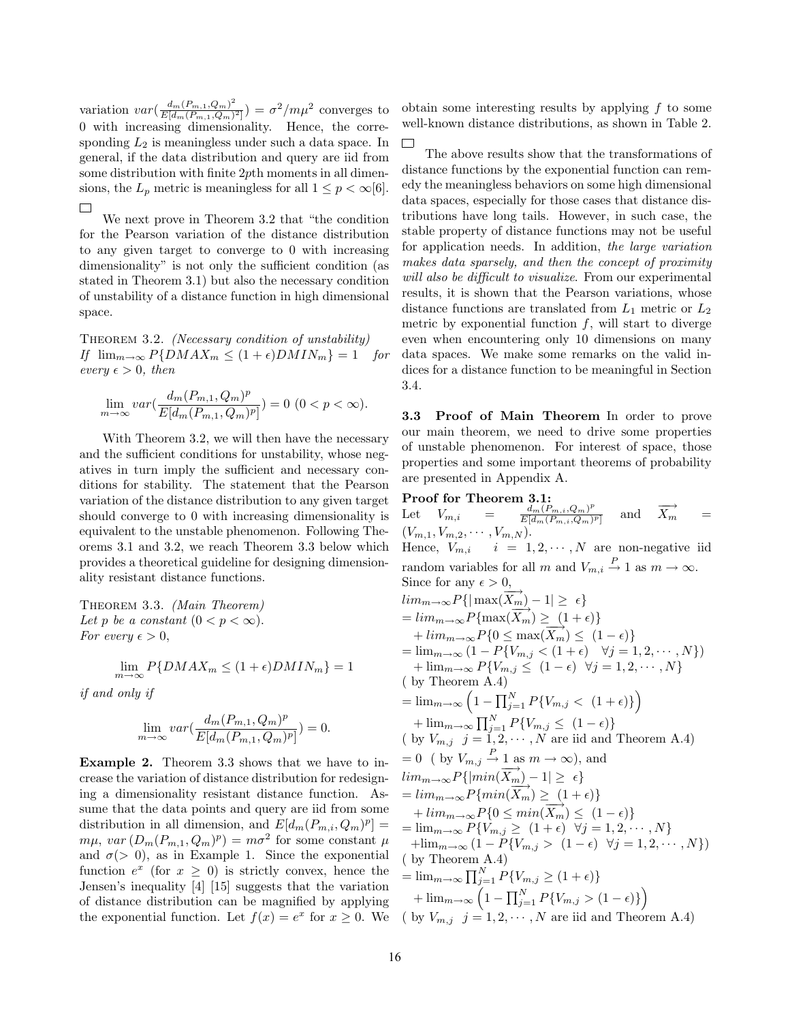variation  $var(\frac{d_m(P_{m,1},Q_m)^2}{E[d-(P_{m,1},Q_m))}$  $\frac{d_m(P_{m,1}, Q_m)^2}{E[d_m(P_{m,1}, Q_m)^2]}$ ) =  $\sigma^2/m\mu^2$  converges to 0 with increasing dimensionality. Hence, the corresponding  $L_2$  is meaningless under such a data space. In general, if the data distribution and query are iid from some distribution with finite 2pth moments in all dimensions, the  $L_p$  metric is meaningless for all  $1 \leq p < \infty[6]$ .  $\Box$ 

We next prove in Theorem 3.2 that "the condition for the Pearson variation of the distance distribution to any given target to converge to 0 with increasing dimensionality" is not only the sufficient condition (as stated in Theorem 3.1) but also the necessary condition of unstability of a distance function in high dimensional space.

THEOREM 3.2. (Necessary condition of unstability) If  $\lim_{m\to\infty} P\{DMAX_m \leq (1+\epsilon)DMIN_m\} = 1$  for every  $\epsilon > 0$ , then

$$
\lim_{m \to \infty} var(\frac{d_m(P_{m,1},Q_m)^p}{E[d_m(P_{m,1},Q_m)^p]}) = 0 \ (0 < p < \infty).
$$

With Theorem 3.2, we will then have the necessary and the sufficient conditions for unstability, whose negatives in turn imply the sufficient and necessary conditions for stability. The statement that the Pearson variation of the distance distribution to any given target should converge to 0 with increasing dimensionality is equivalent to the unstable phenomenon. Following Theorems 3.1 and 3.2, we reach Theorem 3.3 below which provides a theoretical guideline for designing dimensionality resistant distance functions.

Theorem 3.3. (Main Theorem) Let p be a constant  $(0 < p < \infty)$ . For every  $\epsilon > 0$ ,

$$
\lim_{m \to \infty} P\{DMAX_m \le (1 + \epsilon)DMIN_m\} = 1
$$

if and only if

$$
\lim_{m \to \infty} var\left(\frac{d_m(P_{m,1}, Q_m)^p}{E[d_m(P_{m,1}, Q_m)^p]}\right) = 0.
$$

Example 2. Theorem 3.3 shows that we have to increase the variation of distance distribution for redesigning a dimensionality resistant distance function. Assume that the data points and query are iid from some distribution in all dimension, and  $E[d_m(P_{m,i}, Q_m)^p] =$  $m\mu$ ,  $var(D_m(P_{m,1}, Q_m)^p) = m\sigma^2$  for some constant  $\mu$ and  $\sigma(> 0)$ , as in Example 1. Since the exponential function  $e^x$  (for  $x \geq 0$ ) is strictly convex, hence the Jensen's inequality [4] [15] suggests that the variation of distance distribution can be magnified by applying the exponential function. Let  $f(x) = e^x$  for  $x \ge 0$ . We

obtain some interesting results by applying f to some well-known distance distributions, as shown in Table 2.

 $\Box$ 

The above results show that the transformations of distance functions by the exponential function can remedy the meaningless behaviors on some high dimensional data spaces, especially for those cases that distance distributions have long tails. However, in such case, the stable property of distance functions may not be useful for application needs. In addition, the large variation makes data sparsely, and then the concept of proximity will also be difficult to visualize. From our experimental results, it is shown that the Pearson variations, whose distance functions are translated from  $L_1$  metric or  $L_2$ metric by exponential function  $f$ , will start to diverge even when encountering only 10 dimensions on many data spaces. We make some remarks on the valid indices for a distance function to be meaningful in Section 3.4.

3.3 Proof of Main Theorem In order to prove our main theorem, we need to drive some properties of unstable phenomenon. For interest of space, those properties and some important theorems of probability are presented in Appendix A.

Proof for Theorem 3.1: Let  $V_{m,i} = \frac{d_m(P_{m,i},Q_m)^p}{E[d_m(P_{m,i},Q_m)]}$  $E[d_m(P_{m,i},Q_m)^p]$ and  $\overrightarrow{X_m}$  =  $(V_{m,1}, V_{m,2}, \cdots, V_{m,N}).$ Hence,  $V_{m,i}$ ,  $\stackrel{\cdot}{i} = 1, 2, \cdots, N$  are non-negative iid random variables for all m and  $V_{m,i} \stackrel{P}{\rightarrow} 1$  as  $m \rightarrow \infty$ . Since for any  $\epsilon > 0$ ,  $\lim_{m\to\infty}P\{|\max(\overrightarrow{X_m})-1|\geq \epsilon\}$  $= \lim_{m \to \infty} P\{\max(\overrightarrow{X_m}) \geq (1+\epsilon)\}\$  $+ \lim_{m \to \infty} P\{0 \leq \max(\overrightarrow{X_m}) \leq (1-\epsilon)\}$  $= \lim_{m \to \infty} (1 - P\{V_{m,j} < (1 + \epsilon) \quad \forall j = 1, 2, \cdots, N\})$ +  $\lim_{m\to\infty} P\{V_{m,j} \leq (1-\epsilon) \quad \forall j=1,2,\cdots,N\}$ ( by Theorem A.4)  $= \lim_{m \to \infty} \left( 1 - \prod_{j=1}^{N} P\{V_{m,j} < (1 + \epsilon)\}\right)$  $+\lim_{m\to\infty}\prod_{j=1}^N P\{V_{m,j}\leq (1-\epsilon)\}\$ ( by  $V_{m,j}$   $j = 1, 2, \cdots, N$  are iid and Theorem A.4)  $= 0$  ( by  $V_{m,j} \stackrel{P}{\rightarrow} 1$  as  $m \rightarrow \infty$ ), and  $lim_{m\to\infty} P\{|min(\overrightarrow{X_m}) - 1| \geq \epsilon\}$  $= \lim_{m \to \infty} P\{\min(\overline{X_m}) \geq (1+\epsilon)\}$ +  $\lim_{m\to\infty} P\{0 \leq min(\overline{X_m}) \leq (1-\epsilon)\}\$  $=\lim_{m\to\infty} P\{V_{m,j}\geq (1+\epsilon) \quad \forall j=1,2,\cdots,N\}$  $+\lim_{m\to\infty} (1 - P\{V_{m,j} > (1 - \epsilon) \ \forall j = 1, 2, \cdots, N\})$ ( by Theorem A.4)  $=\lim_{m\to\infty}\prod_{j=1}^N P\{V_{m,j}\geq (1+\epsilon)\}\$ +  $\lim_{m \to \infty} \left( 1 - \prod_{j=1}^{N} P\{V_{m,j} > (1 - \epsilon)\}\right)$ ( by  $V_{m,j}$   $j = 1, 2, \cdots, N$  are iid and Theorem A.4)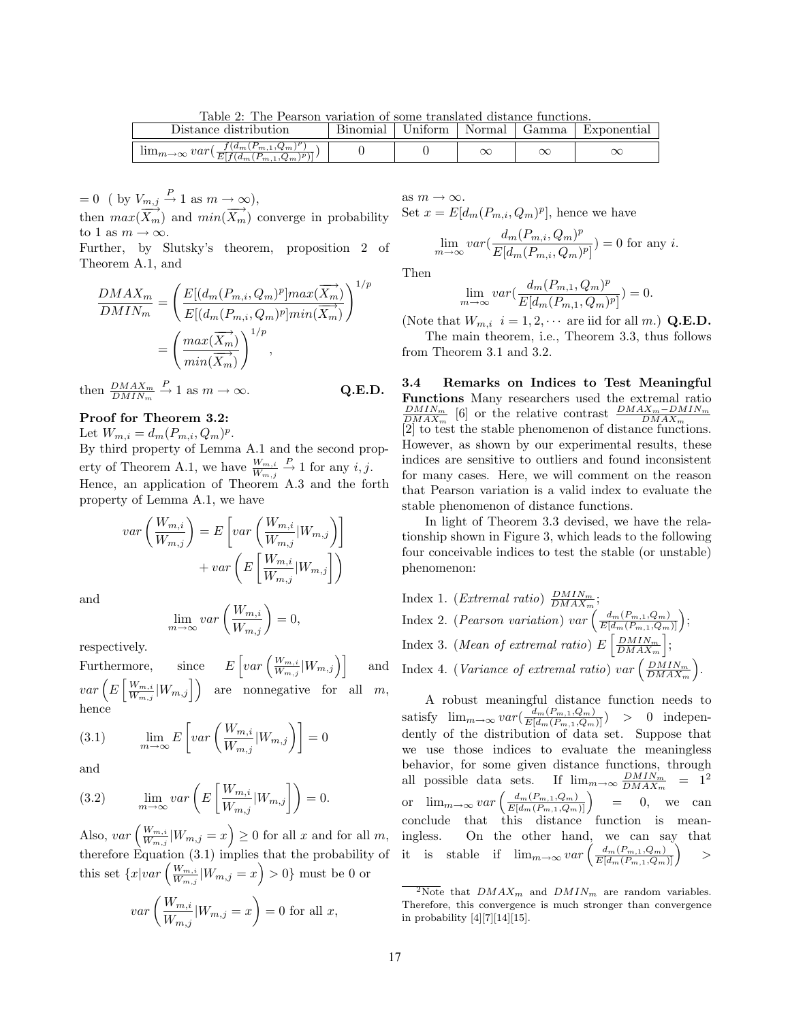Table 2: The Pearson variation of some translated distance functions.

| Distance distribution                                                                                   | Bınomıal | Jnıtorm | Normal    | Gamma | Exponential |
|---------------------------------------------------------------------------------------------------------|----------|---------|-----------|-------|-------------|
| $(a_{m}$<br>$(F_{m,1}, Q_m)$<br>$\lim_{m\to\infty} var($<br>E<br>\ <i>מ\</i><br>$ f(d_m(P_{m,1},Q_m)) $ |          |         | $\propto$ | ◡     |             |

 $= 0$  ( by  $V_{m,j} \stackrel{P}{\rightarrow} 1$  as  $m \rightarrow \infty$ ), then  $max(\overrightarrow{X_m})$  and  $min(\overrightarrow{X_m})$  converge in probability

to 1 as  $m \to \infty$ . Further, by Slutsky's theorem, proposition 2 of Theorem A.1, and

$$
\frac{DMAX_m}{DMIN_m} = \left(\frac{E[(d_m(P_{m,i}, Q_m)^p]max(\overrightarrow{X_m})}{E[(d_m(P_{m,i}, Q_m)^p]min(\overrightarrow{X_m})}]^{1/p}}\right)^{1/p}
$$

$$
= \left(\frac{max(\overrightarrow{X_m})}{min(\overrightarrow{X_m})}\right)^{1/p},
$$

then  $\frac{DMAX_m}{DMIN_m} \stackrel{P}{\rightarrow} 1$  as  $m \rightarrow \infty$ . Q.E.D.

## Proof for Theorem 3.2:

Let  $W_{m,i} = d_m(P_{m,i}, Q_m)^p$ .

By third property of Lemma A.1 and the second property of Theorem A.1, we have  $\frac{W_{m,i}}{W_{m,j}} \stackrel{P}{\to} 1$  for any  $i, j$ . Hence, an application of Theorem A.3 and the forth property of Lemma A.1, we have

$$
var\left(\frac{W_{m,i}}{W_{m,j}}\right) = E\left[var\left(\frac{W_{m,i}}{W_{m,j}}|W_{m,j}\right)\right]
$$

$$
+ var\left(E\left[\frac{W_{m,i}}{W_{m,j}}|W_{m,j}\right]\right)
$$

and

$$
\lim_{m \to \infty} var\left(\frac{W_{m,i}}{W_{m,j}}\right) = 0,
$$

respectively.

Furthermore,  $\int var\left(\frac{W_{m,i}}{W}\right)$  $\left. \frac{W_{m,i}}{W_{m,j}} \middle| W_{m,j} \right) \right] \hspace{1cm} \mathrm{and}$  $var(E[\frac{W_{m,i}}{W}]$  $\left(\frac{W_{m,i}}{W_{m,j}}\middle|W_{m,j}\right)$  are nonnegative for all m, hence

(3.1) 
$$
\lim_{m \to \infty} E\left[ var\left(\frac{W_{m,i}}{W_{m,j}} | W_{m,j}\right) \right] = 0
$$

and

(3.2) 
$$
\lim_{m \to \infty} var\left(E\left[\frac{W_{m,i}}{W_{m,j}}|W_{m,j}\right]\right) = 0.
$$

Also,  $var\left(\frac{W_{m,i}}{W}\right)$  $\frac{W_{m,i}}{W_{m,j}}|W_{m,j} = x\Big) \geq 0$  for all x and for all m, therefore Equation (3.1) implies that the probability of this set  $\{x|var\left(\frac{W_{m,i}}{W}\right)\}$  $\frac{W_{m,i}}{W_{m,j}}|W_{m,j} = x\Big) > 0$ } must be 0 or

$$
var\left(\frac{W_{m,i}}{W_{m,j}}|W_{m,j}=x\right)=0 \text{ for all } x,
$$

as  $m \to \infty$ . Set  $x = E[d_m(P_{m,i}, Q_m)^p]$ , hence we have

$$
\lim_{m \to \infty} var(\frac{d_m(P_{m,i}, Q_m)^p}{E[d_m(P_{m,i}, Q_m)^p]}) = 0
$$
 for any *i*.

Then

$$
\lim_{m \to \infty} var\left(\frac{d_m(P_{m,1}, Q_m)^p}{E[d_m(P_{m,1}, Q_m)^p]}\right) = 0.
$$

(Note that  $W_{m,i}$   $i = 1, 2, \cdots$  are iid for all m.) **Q.E.D.** 

The main theorem, i.e., Theorem 3.3, thus follows from Theorem 3.1 and 3.2.

3.4 Remarks on Indices to Test Meaningful Functions Many researchers used the extremal ratio  $\frac{DMIN_m}{DMAX_m}$  [6] or the relative contrast  $\frac{DMAX_m - DMIN_m}{DMAX_m}$ <br>[2] to test the stable phenomenon of distance functions. However, as shown by our experimental results, these indices are sensitive to outliers and found inconsistent for many cases. Here, we will comment on the reason that Pearson variation is a valid index to evaluate the stable phenomenon of distance functions.

In light of Theorem 3.3 devised, we have the relationship shown in Figure 3, which leads to the following four conceivable indices to test the stable (or unstable) phenomenon:

Index 1. (*Extremal ratio*)  $\frac{DMIN_m}{DMAX_m}$ ; Index 2. (*Pearson variation*) var  $\left( \frac{d_m(P_{m,1},Q_m)}{E[d_m(P_{m,1},Q_m)]} \right);$ Index 3. (Mean of extremal ratio)  $E\left[\frac{DMIN_m}{DMAX_m}\right]$ ; Index 4. (Variance of extremal ratio) var  $\left(\frac{DMIN_m}{DMAX_m}\right)$ .

A robust meaningful distance function needs to satisfy  $\lim_{m \to \infty} var(\frac{d_m(P_{m,1}, Q_m)}{E[d_m(P_{m,1}, Q_m)]}) > 0$  independently of the distribution of data set. Suppose that we use those indices to evaluate the meaningless behavior, for some given distance functions, through all possible data sets. If  $\lim_{m \to \infty} \frac{DMIN_m}{DMAX_m} = 1^2$ or  $\lim_{m\to\infty} var\left(\frac{d_m(P_{m,1},Q_m)}{E[d_m(P_{m,1},Q_m)]}\right)$  = 0, we can conclude that this distance function is meaningless. On the other hand, we can say that it is stable if  $\lim_{m \to \infty} var \left( \frac{d_m(P_{m,1},Q_m)}{E[d_m(P_{m,1},Q_m)]} \right)$  $>$ 

 $2N$ ote that  $DMAX_m$  and  $DMIN_m$  are random variables. Therefore, this convergence is much stronger than convergence in probability  $[4][7][14][15]$ .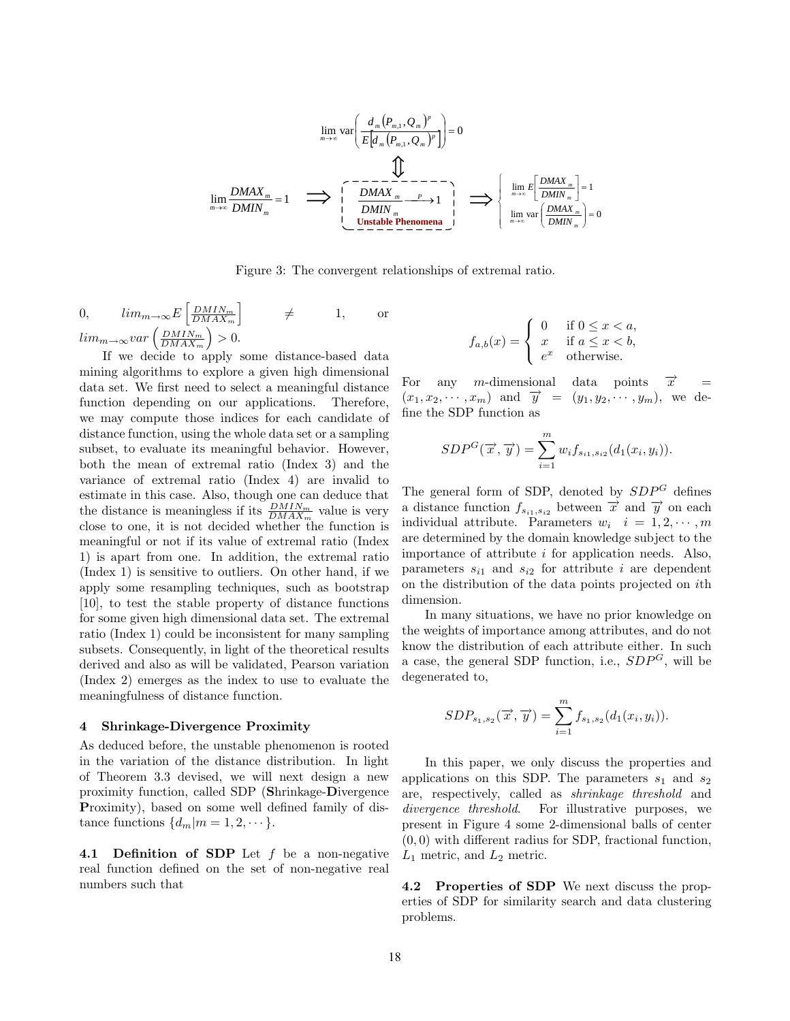$$
\lim_{m \to \infty} \text{var}\left(\frac{d_m \left(P_{m,1}, Q_m\right)^p}{E\left[d_m \left(P_{m,1}, Q_m\right)^p\right]}\right) = 0
$$
\n
$$
\lim_{m \to \infty} \frac{DMAX_m}{DMIN_m} = 1 \quad \implies \left[ \begin{array}{c} \sum_{m=1}^{n} \left( \frac{P_{m,1} \left(P_{m,1}, Q_m\right)^p}{P_{m,1} \left(P_{m,1}\right)^p}\right) \\ \vdots \\ \sum_{m=1}^{n} \left( \frac{P_{m,1} \left(P_{m,1}, Q_m\right)^p}{P_{m,1} \left(P_{m,1}\right)^p}\right) \\ \vdots \\ \sum_{m=1}^{n} \left( \frac{P_{m,1} \left(P_{m,1}, Q_m\right)^p}{P_{m,1} \left(P_{m,1}\right)^p}\right) \end{array} \right] = \left[ \begin{array}{c} \lim_{m \to \infty} E\left[\frac{DMAX_m}{DMIN_m}\right] = 1 \\ \lim_{m \to \infty} \left( \frac{DMAX_m}{DMIN_m}\right) = 0 \end{array} \right]
$$

Figure 3: The convergent relationships of extremal ratio.

0, 
$$
\lim_{m \to \infty} E\left[\frac{DMIN_m}{DMAX_m}\right] \neq 1
$$
, or  
 $\lim_{m \to \infty} var\left(\frac{DMIN_m}{DMAX_m}\right) > 0$ .

If we decide to apply some distance-based data mining algorithms to explore a given high dimensional data set. We first need to select a meaningful distance function depending on our applications. Therefore, we may compute those indices for each candidate of distance function, using the whole data set or a sampling subset, to evaluate its meaningful behavior. However, both the mean of extremal ratio (Index 3) and the variance of extremal ratio (Index 4) are invalid to estimate in this case. Also, though one can deduce that the distance is meaningless if its  $\frac{DMIN_m}{DMAX_m}$  value is very close to one, it is not decided whether the function is meaningful or not if its value of extremal ratio (Index 1) is apart from one. In addition, the extremal ratio (Index 1) is sensitive to outliers. On other hand, if we apply some resampling techniques, such as bootstrap [10], to test the stable property of distance functions for some given high dimensional data set. The extremal ratio (Index 1) could be inconsistent for many sampling subsets. Consequently, in light of the theoretical results derived and also as will be validated, Pearson variation (Index 2) emerges as the index to use to evaluate the meaningfulness of distance function.

#### 4 Shrinkage-Divergence Proximity

As deduced before, the unstable phenomenon is rooted in the variation of the distance distribution. In light of Theorem 3.3 devised, we will next design a new proximity function, called SDP (Shrinkage-Divergence Proximity), based on some well defined family of distance functions  $\{d_m|m=1,2,\cdots\}.$ 

4.1 Definition of SDP Let f be a non-negative real function defined on the set of non-negative real numbers such that

$$
f_{a,b}(x) = \begin{cases} 0 & \text{if } 0 \le x < a, \\ x & \text{if } a \le x < b, \\ e^x & \text{otherwise.} \end{cases}
$$

For any m-dimensional data points  $\vec{x}$  =  $(x_1, x_2, \dots, x_m)$  and  $\overrightarrow{y} = (y_1, y_2, \dots, y_m)$ , we define the SDP function as

$$
SDP^{G}(\overrightarrow{x}, \overrightarrow{y}) = \sum_{i=1}^{m} w_{i} f_{s_{i1}, s_{i2}}(d_{1}(x_{i}, y_{i})).
$$

The general form of SDP, denoted by  $SDP<sup>G</sup>$  defines a distance function  $f_{s_{i1},s_{i2}}$  between  $\overrightarrow{x}$  and  $\overrightarrow{y}$  on each individual attribute. Parameters  $w_i$   $i = 1, 2, \cdots, m$ are determined by the domain knowledge subject to the importance of attribute  $i$  for application needs. Also, parameters  $s_{i1}$  and  $s_{i2}$  for attribute i are dependent on the distribution of the data points projected on ith dimension.

In many situations, we have no prior knowledge on the weights of importance among attributes, and do not know the distribution of each attribute either. In such a case, the general SDP function, i.e.,  $SDP^G$ , will be degenerated to,

$$
SDP_{s_1, s_2}(\vec{x}, \vec{y}) = \sum_{i=1}^{m} f_{s_1, s_2}(d_1(x_i, y_i)).
$$

In this paper, we only discuss the properties and applications on this SDP. The parameters  $s_1$  and  $s_2$ are, respectively, called as shrinkage threshold and divergence threshold. For illustrative purposes, we present in Figure 4 some 2-dimensional balls of center  $(0, 0)$  with different radius for SDP, fractional function,  $\mathcal{L}_1$  metric, and  $\mathcal{L}_2$  metric.

4.2 Properties of SDP We next discuss the properties of SDP for similarity search and data clustering problems.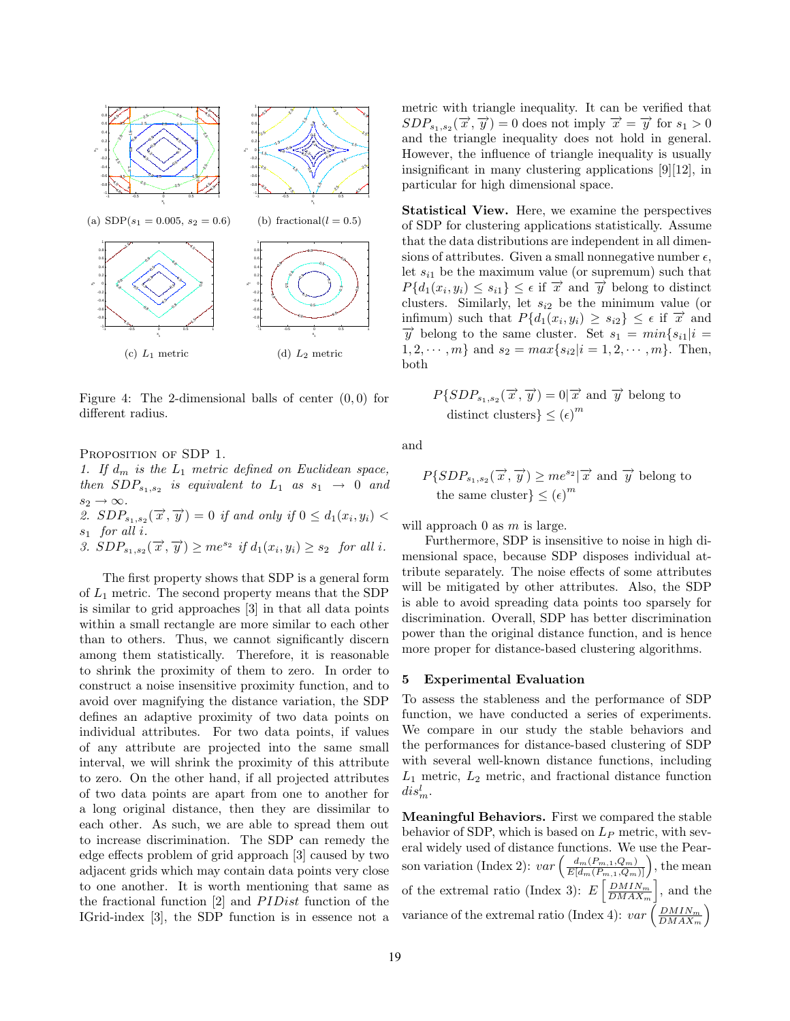

Figure 4: The 2-dimensional balls of center  $(0, 0)$  for different radius.

PROPOSITION OF SDP 1.

1. If  $d_m$  is the  $L_1$  metric defined on Euclidean space, then  $SDP_{s_1,s_2}$  is equivalent to  $L_1$  as  $s_1 \rightarrow 0$  and  $s_2 \to \infty$ .

2.  $SDP_{s_1,s_2}(\vec{x}, \vec{y}) = 0$  if and only if  $0 \leq d_1(x_i, y_i)$  $s_1$  for all  $i$ .

3.  $SDP_{s_1,s_2}(\vec{x}, \vec{y}) \geq me^{s_2}$  if  $d_1(x_i,y_i) \geq s_2$  for all i.

The first property shows that SDP is a general form of  $L_1$  metric. The second property means that the SDP is similar to grid approaches [3] in that all data points within a small rectangle are more similar to each other than to others. Thus, we cannot significantly discern among them statistically. Therefore, it is reasonable to shrink the proximity of them to zero. In order to construct a noise insensitive proximity function, and to avoid over magnifying the distance variation, the SDP defines an adaptive proximity of two data points on individual attributes. For two data points, if values of any attribute are projected into the same small interval, we will shrink the proximity of this attribute to zero. On the other hand, if all projected attributes of two data points are apart from one to another for a long original distance, then they are dissimilar to each other. As such, we are able to spread them out to increase discrimination. The SDP can remedy the edge effects problem of grid approach [3] caused by two adjacent grids which may contain data points very close to one another. It is worth mentioning that same as the fractional function  $[2]$  and  $PIDist$  function of the IGrid-index [3], the SDP function is in essence not a

metric with triangle inequality. It can be verified that  $SDP_{s_1, s_2}(\vec{x}, \vec{y}) = 0$  does not imply  $\vec{x} = \vec{y}$  for  $s_1 > 0$ and the triangle inequality does not hold in general. However, the influence of triangle inequality is usually insignificant in many clustering applications [9][12], in particular for high dimensional space.

Statistical View. Here, we examine the perspectives of SDP for clustering applications statistically. Assume that the data distributions are independent in all dimensions of attributes. Given a small nonnegative number  $\epsilon$ , let  $s_{i1}$  be the maximum value (or supremum) such that  $P{d_1(x_i, y_i) \leq s_{i1}} \leq \epsilon$  if  $\vec{x}$  and  $\vec{y}$  belong to distinct clusters. Similarly, let  $s_{i2}$  be the minimum value (or infimum) such that  $P\{d_1(x_i, y_i) \geq s_{i2}\} \leq \epsilon$  if  $\overrightarrow{x}$  and  $\overrightarrow{y}$  belong to the same cluster. Set  $s_1 = min\{s_{i1}|i =$  $1, 2, \dots, m$  and  $s_2 = max\{s_{i2}|i = 1, 2, \dots, m\}$ . Then, both

$$
P\{SDP_{s_1, s_2}(\overrightarrow{x}, \overrightarrow{y}) = 0 | \overrightarrow{x} \text{ and } \overrightarrow{y} \text{ belong to} \}
$$
  
distinct clusters $\} \leq (\epsilon)^m$ 

and

 $P\{SDP_{s_1,s_2}(\vec{x},\vec{y})\geq me^{s_2}|\vec{x}\text{ and }\vec{y}\text{ belong to}\}$ the same cluster  $\} \leq (\epsilon)^m$ 

will approach  $0$  as  $m$  is large.

Furthermore, SDP is insensitive to noise in high dimensional space, because SDP disposes individual attribute separately. The noise effects of some attributes will be mitigated by other attributes. Also, the SDP is able to avoid spreading data points too sparsely for discrimination. Overall, SDP has better discrimination power than the original distance function, and is hence more proper for distance-based clustering algorithms.

## 5 Experimental Evaluation

To assess the stableness and the performance of SDP function, we have conducted a series of experiments. We compare in our study the stable behaviors and the performances for distance-based clustering of SDP with several well-known distance functions, including  $L_1$  metric,  $L_2$  metric, and fractional distance function  $dis^l_m$ .

Meaningful Behaviors. First we compared the stable behavior of SDP, which is based on  $L_P$  metric, with several widely used of distance functions. We use the Pearson variation (Index 2):  $var\left(\frac{d_m(P_{m,1}, Q_m)}{E[d_m(P_{m,1}, Q_m)]}\right)$ , the mean of the extremal ratio (Index 3):  $E\left[\frac{D M I N_m}{D M A X_m}\right]$ , and the variance of the extremal ratio (Index 4):  $var\left(\frac{DMIN_m}{DMAX_m}\right)$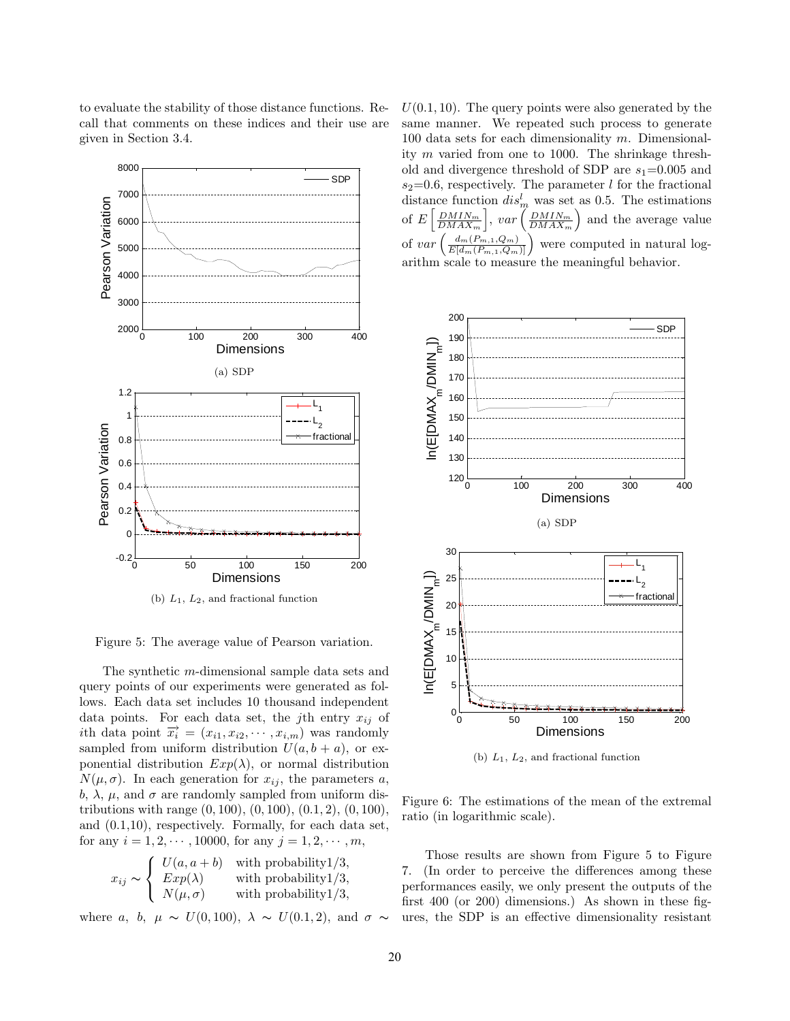

to evaluate the stability of those distance functions. Recall that comments on these indices and their use are given in Section 3.4.

Figure 5: The average value of Pearson variation.

The synthetic m-dimensional sample data sets and query points of our experiments were generated as follows. Each data set includes 10 thousand independent data points. For each data set, the *j*th entry  $x_{ij}$  of ith data point  $\overrightarrow{x_i} = (x_{i1}, x_{i2}, \cdots, x_{i,m})$  was randomly sampled from uniform distribution  $U(a, b + a)$ , or exponential distribution  $Exp(\lambda)$ , or normal distribution  $N(\mu, \sigma)$ . In each generation for  $x_{ij}$ , the parameters a, b,  $\lambda$ ,  $\mu$ , and  $\sigma$  are randomly sampled from uniform distributions with range  $(0, 100)$ ,  $(0, 100)$ ,  $(0.1, 2)$ ,  $(0, 100)$ , and (0.1,10), respectively. Formally, for each data set, for any  $i = 1, 2, \dots, 10000$ , for any  $j = 1, 2, \dots, m$ ,

$$
x_{ij} \sim \begin{cases} U(a, a+b) & \text{with probability } 1/3, \\ Exp(\lambda) & \text{with probability } 1/3, \\ N(\mu, \sigma) & \text{with probability } 1/3, \end{cases}
$$

where a, b,  $\mu \sim U(0, 100)$ ,  $\lambda \sim U(0.1, 2)$ , and  $\sigma \sim$ 

 $U(0.1, 10)$ . The query points were also generated by the same manner. We repeated such process to generate 100 data sets for each dimensionality m. Dimensionality  $m$  varied from one to 1000. The shrinkage threshold and divergence threshold of SDP are  $s_1=0.005$  and  $s_2=0.6$ , respectively. The parameter l for the fractional distance function  $dis_m^l$  was set as 0.5. The estimations of E  $\left\lceil \frac{DMIN_m}{DMAX_m} \right\rceil$ , var  $\left(\frac{DMIN_m}{DMAX_m}\right)$  and the average value of var  $\frac{d_m(P_{m,1},Q_m)}{E[d_m(P_{m,1},Q_m)]}$ were computed in natural logarithm scale to measure the meaningful behavior.



(b)  $L_1$ ,  $L_2$ , and fractional function

Figure 6: The estimations of the mean of the extremal ratio (in logarithmic scale).

Those results are shown from Figure 5 to Figure 7. (In order to perceive the differences among these performances easily, we only present the outputs of the first 400 (or 200) dimensions.) As shown in these figures, the SDP is an effective dimensionality resistant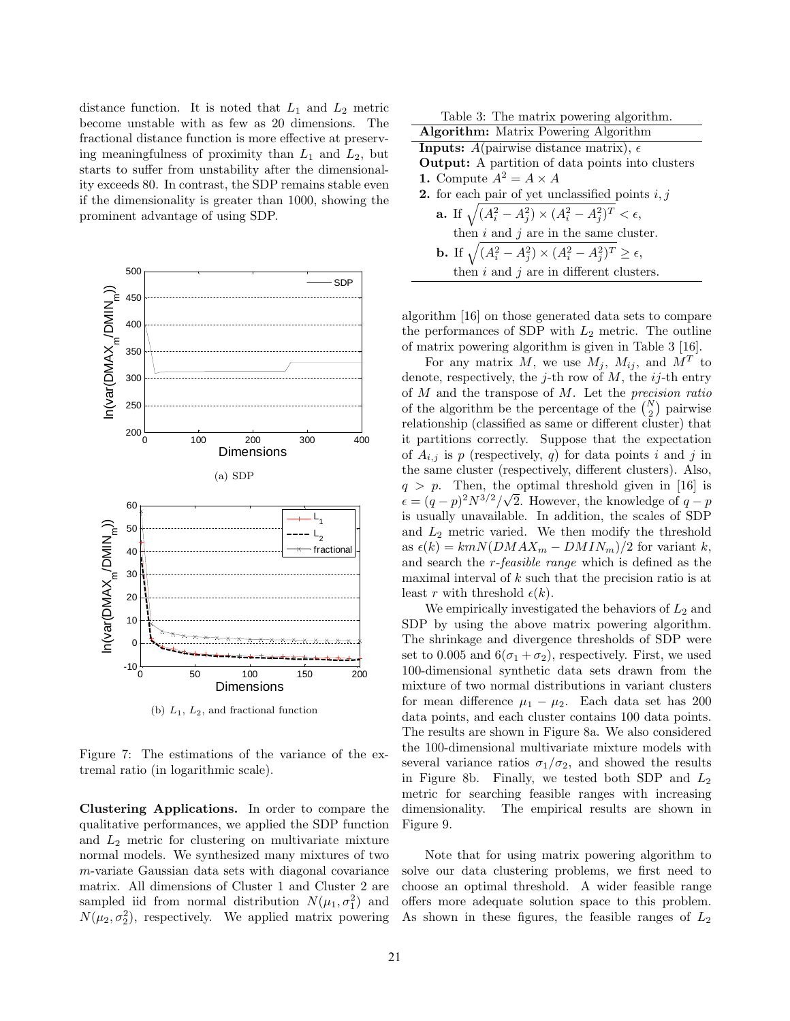distance function. It is noted that  $L_1$  and  $L_2$  metric become unstable with as few as 20 dimensions. The fractional distance function is more effective at preserving meaningfulness of proximity than  $L_1$  and  $L_2$ , but starts to suffer from unstability after the dimensionality exceeds 80. In contrast, the SDP remains stable even if the dimensionality is greater than 1000, showing the prominent advantage of using SDP.



(b)  $L_1$ ,  $L_2$ , and fractional function

Figure 7: The estimations of the variance of the extremal ratio (in logarithmic scale).

Clustering Applications. In order to compare the qualitative performances, we applied the SDP function and  $L_2$  metric for clustering on multivariate mixture normal models. We synthesized many mixtures of two m-variate Gaussian data sets with diagonal covariance matrix. All dimensions of Cluster 1 and Cluster 2 are sampled iid from normal distribution  $N(\mu_1, \sigma_1^2)$  and  $N(\mu_2, \sigma_2^2)$ , respectively. We applied matrix powering

| Table 3: The matrix powering algorithm.                                       |  |  |  |
|-------------------------------------------------------------------------------|--|--|--|
| Algorithm: Matrix Powering Algorithm                                          |  |  |  |
| <b>Inputs:</b> A(pairwise distance matrix), $\epsilon$                        |  |  |  |
| <b>Output:</b> A partition of data points into clusters                       |  |  |  |
| 1. Compute $A^2 = A \times A$                                                 |  |  |  |
| <b>2.</b> for each pair of yet unclassified points $i, j$                     |  |  |  |
| <b>a.</b> If $\sqrt{(A_i^2 - A_j^2)} \times (A_i^2 - A_j^2)^T < \epsilon$ ,   |  |  |  |
| then $i$ and $j$ are in the same cluster.                                     |  |  |  |
| <b>b.</b> If $\sqrt{(A_i^2 - A_j^2)} \times (A_i^2 - A_j^2)^T \ge \epsilon$ , |  |  |  |
| then $i$ and $j$ are in different clusters.                                   |  |  |  |

algorithm [16] on those generated data sets to compare the performances of SDP with  $L_2$  metric. The outline of matrix powering algorithm is given in Table 3 [16].

For any matrix M, we use  $M_j$ ,  $M_{ij}$ , and  $M^T$  to denote, respectively, the *j*-th row of  $M$ , the *ij*-th entry of  $M$  and the transpose of  $M$ . Let the *precision ratio* of the algorithm be the percentage of the  $\binom{N}{2}$  pairwise relationship (classified as same or different cluster) that it partitions correctly. Suppose that the expectation of  $A_{i,j}$  is p (respectively, q) for data points i and j in the same cluster (respectively, different clusters). Also,  $q > p$ . Then, the optimal threshold given in [16] is  $\epsilon = (q-p)^2 N^{3/2}/\sqrt{2}$ . However, the knowledge of  $q-p$ is usually unavailable. In addition, the scales of SDP and  $L_2$  metric varied. We then modify the threshold as  $\epsilon(k) = kmN(DMAX_m - DMIN_m)/2$  for variant k, and search the r-feasible range which is defined as the maximal interval of k such that the precision ratio is at least r with threshold  $\epsilon(k)$ .

We empirically investigated the behaviors of  $L_2$  and SDP by using the above matrix powering algorithm. The shrinkage and divergence thresholds of SDP were set to 0.005 and  $6(\sigma_1 + \sigma_2)$ , respectively. First, we used 100-dimensional synthetic data sets drawn from the mixture of two normal distributions in variant clusters for mean difference  $\mu_1 - \mu_2$ . Each data set has 200 data points, and each cluster contains 100 data points. The results are shown in Figure 8a. We also considered the 100-dimensional multivariate mixture models with several variance ratios  $\sigma_1/\sigma_2$ , and showed the results in Figure 8b. Finally, we tested both SDP and  $L_2$ metric for searching feasible ranges with increasing dimensionality. The empirical results are shown in Figure 9.

Note that for using matrix powering algorithm to solve our data clustering problems, we first need to choose an optimal threshold. A wider feasible range offers more adequate solution space to this problem. As shown in these figures, the feasible ranges of  $L_2$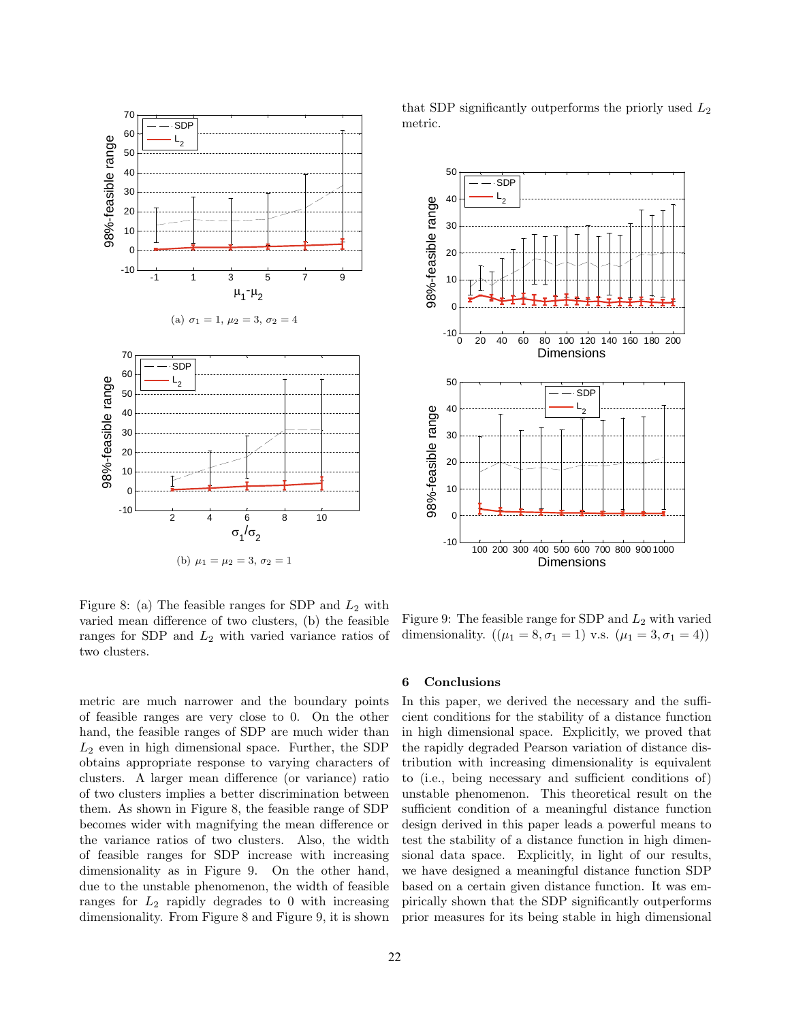

that SDP significantly outperforms the priorly used  $L_2$ metric.



Figure 8: (a) The feasible ranges for SDP and  $L_2$  with varied mean difference of two clusters, (b) the feasible ranges for SDP and  $L_2$  with varied variance ratios of two clusters.

metric are much narrower and the boundary points of feasible ranges are very close to 0. On the other hand, the feasible ranges of SDP are much wider than  $L_2$  even in high dimensional space. Further, the SDP obtains appropriate response to varying characters of clusters. A larger mean difference (or variance) ratio of two clusters implies a better discrimination between them. As shown in Figure 8, the feasible range of SDP becomes wider with magnifying the mean difference or the variance ratios of two clusters. Also, the width of feasible ranges for SDP increase with increasing dimensionality as in Figure 9. On the other hand, due to the unstable phenomenon, the width of feasible ranges for  $L_2$  rapidly degrades to 0 with increasing dimensionality. From Figure 8 and Figure 9, it is shown

Figure 9: The feasible range for SDP and  $L_2$  with varied dimensionality.  $((\mu_1 = 8, \sigma_1 = 1) \text{ v.s. } (\mu_1 = 3, \sigma_1 = 4))$ 

#### 6 Conclusions

In this paper, we derived the necessary and the sufficient conditions for the stability of a distance function in high dimensional space. Explicitly, we proved that the rapidly degraded Pearson variation of distance distribution with increasing dimensionality is equivalent to (i.e., being necessary and sufficient conditions of) unstable phenomenon. This theoretical result on the sufficient condition of a meaningful distance function design derived in this paper leads a powerful means to test the stability of a distance function in high dimensional data space. Explicitly, in light of our results, we have designed a meaningful distance function SDP based on a certain given distance function. It was empirically shown that the SDP significantly outperforms prior measures for its being stable in high dimensional